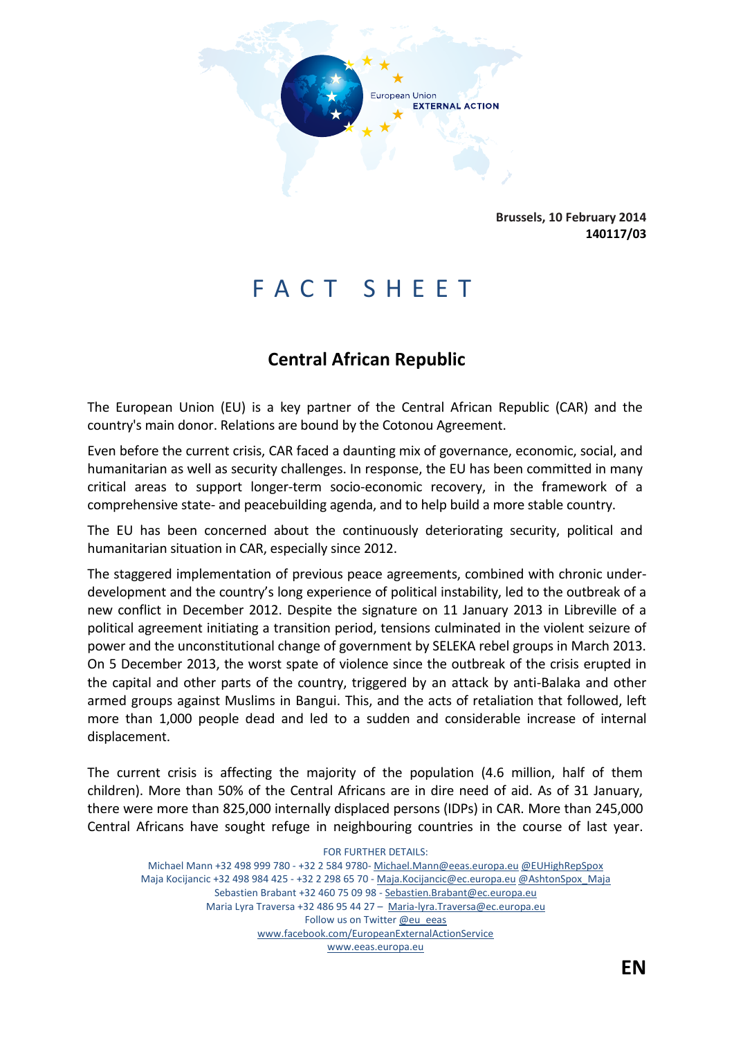

**Brussels, 10 February 2014 140117/03**

# FACT SHEET

# **Central African Republic**

The European Union (EU) is a key partner of the Central African Republic (CAR) and the country's main donor. Relations are bound by the Cotonou Agreement.

Even before the current crisis, CAR faced a daunting mix of governance, economic, social, and humanitarian as well as security challenges. In response, the EU has been committed in many critical areas to support longer-term socio-economic recovery, in the framework of a comprehensive state- and peacebuilding agenda, and to help build a more stable country.

The EU has been concerned about the continuously deteriorating security, political and humanitarian situation in CAR, especially since 2012.

The staggered implementation of previous peace agreements, combined with chronic underdevelopment and the country's long experience of political instability, led to the outbreak of a new conflict in December 2012. Despite the signature on 11 January 2013 in Libreville of a political agreement initiating a transition period, tensions culminated in the violent seizure of power and the unconstitutional change of government by SELEKA rebel groups in March 2013. On 5 December 2013, the worst spate of violence since the outbreak of the crisis erupted in the capital and other parts of the country, triggered by an attack by anti-Balaka and other armed groups against Muslims in Bangui. This, and the acts of retaliation that followed, left more than 1,000 people dead and led to a sudden and considerable increase of internal displacement.

The current crisis is affecting the majority of the population (4.6 million, half of them children). More than 50% of the Central Africans are in dire need of aid. As of 31 January, there were more than 825,000 internally displaced persons (IDPs) in CAR. More than 245,000 Central Africans have sought refuge in neighbouring countries in the course of last year.

FOR FURTHER DETAILS: Michael Mann +32 498 999 780 - +32 2 584 9780- Michael.Mann@eeas.europa.eu @EUHighRepSpox Maja Kocijancic +32 498 984 425 - +32 2 298 65 70 - Maja.Kocijancic@ec.europa.eu @AshtonSpox\_Maja Sebastien Brabant +32 460 75 09 98 - Sebastien.Brabant@ec.europa.eu Maria Lyra Traversa +32 486 95 44 27 – Maria-lyra.Traversa@ec.europa.eu Follow us on Twitter @eu\_eeas www.facebook.com/EuropeanExternalActionService www.eeas.europa.eu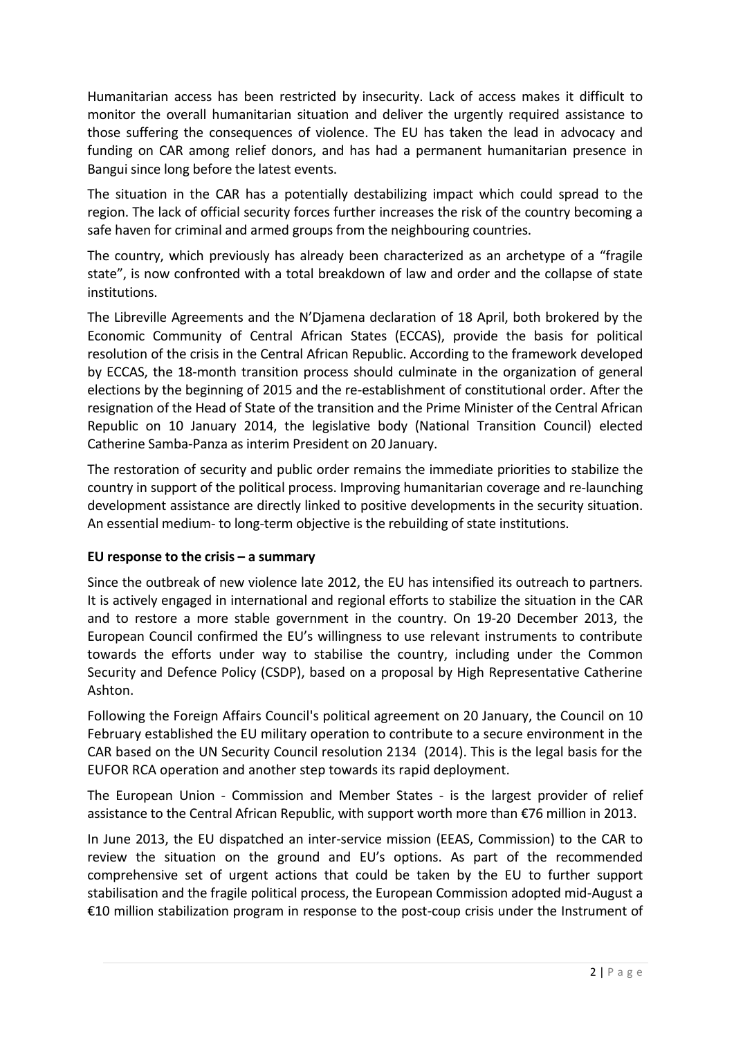Humanitarian access has been restricted by insecurity. Lack of access makes it difficult to monitor the overall humanitarian situation and deliver the urgently required assistance to those suffering the consequences of violence. The EU has taken the lead in advocacy and funding on CAR among relief donors, and has had a permanent humanitarian presence in Bangui since long before the latest events.

The situation in the CAR has a potentially destabilizing impact which could spread to the region. The lack of official security forces further increases the risk of the country becoming a safe haven for criminal and armed groups from the neighbouring countries.

The country, which previously has already been characterized as an archetype of a "fragile state", is now confronted with a total breakdown of law and order and the collapse of state institutions.

The Libreville Agreements and the N'Djamena declaration of 18 April, both brokered by the Economic Community of Central African States (ECCAS), provide the basis for political resolution of the crisis in the Central African Republic. According to the framework developed by ECCAS, the 18-month transition process should culminate in the organization of general elections by the beginning of 2015 and the re-establishment of constitutional order. After the resignation of the Head of State of the transition and the Prime Minister of the Central African Republic on 10 January 2014, the legislative body (National Transition Council) elected Catherine Samba-Panza as interim President on 20 January.

The restoration of security and public order remains the immediate priorities to stabilize the country in support of the political process. Improving humanitarian coverage and re-launching development assistance are directly linked to positive developments in the security situation. An essential medium- to long-term objective is the rebuilding of state institutions.

### **EU response to the crisis – a summary**

Since the outbreak of new violence late 2012, the EU has intensified its outreach to partners. It is actively engaged in international and regional efforts to stabilize the situation in the CAR and to restore a more stable government in the country. On 19-20 December 2013, the European Council confirmed the EU's willingness to use relevant instruments to contribute towards the efforts under way to stabilise the country, including under the Common Security and Defence Policy (CSDP), based on a proposal by High Representative Catherine Ashton.

Following the Foreign Affairs Council's political agreement on 20 January, the Council on 10 February established the EU military operation to contribute to a secure environment in the CAR based on the UN Security Council resolution 2134 (2014). This is the legal basis for the EUFOR RCA operation and another step towards its rapid deployment.

The European Union - Commission and Member States - is the largest provider of relief assistance to the Central African Republic, with support worth more than €76 million in 2013.

In June 2013, the EU dispatched an inter-service mission (EEAS, Commission) to the CAR to review the situation on the ground and EU's options. As part of the recommended comprehensive set of urgent actions that could be taken by the EU to further support stabilisation and the fragile political process, the European Commission adopted mid-August a €10 million stabilization program in response to the post-coup crisis under the Instrument of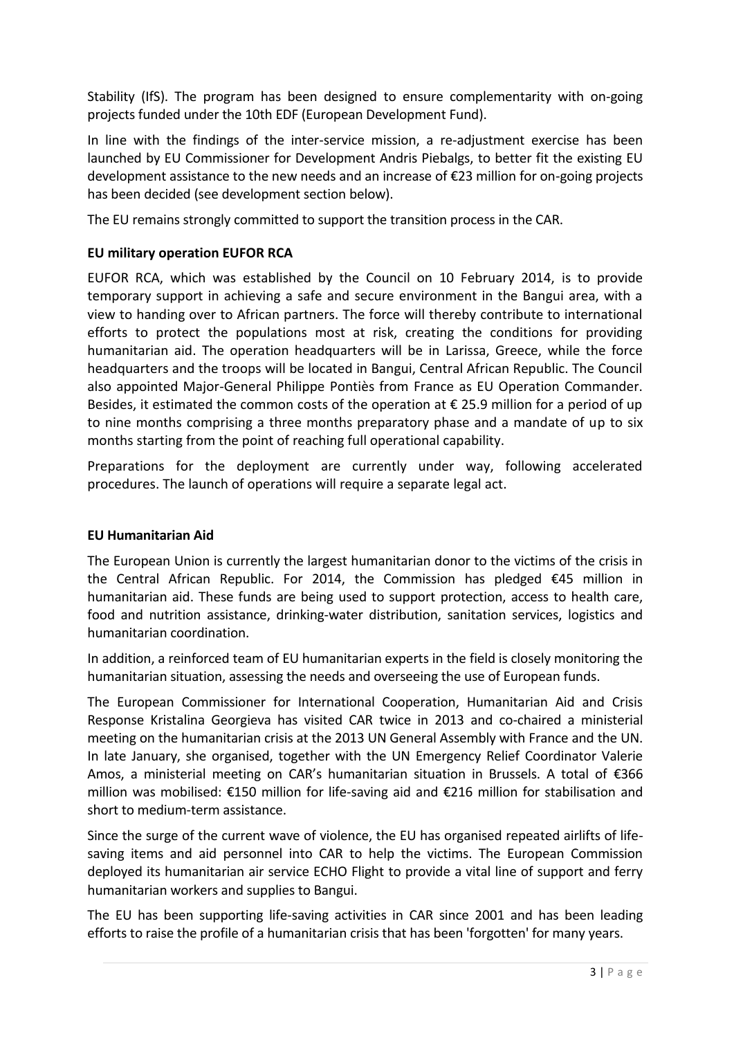Stability (IfS). The program has been designed to ensure complementarity with on-going projects funded under the 10th EDF (European Development Fund).

In line with the findings of the inter-service mission, a re-adjustment exercise has been launched by EU Commissioner for Development Andris Piebalgs, to better fit the existing EU development assistance to the new needs and an increase of €23 million for on-going projects has been decided (see development section below).

The EU remains strongly committed to support the transition process in the CAR.

#### **EU military operation EUFOR RCA**

EUFOR RCA, which was established by the Council on 10 February 2014, is to provide temporary support in achieving a safe and secure environment in the Bangui area, with a view to handing over to African partners. The force will thereby contribute to international efforts to protect the populations most at risk, creating the conditions for providing humanitarian aid. The operation headquarters will be in Larissa, Greece, while the force headquarters and the troops will be located in Bangui, Central African Republic. The Council also appointed Major-General Philippe Pontiès from France as EU Operation Commander. Besides, it estimated the common costs of the operation at  $\epsilon$  25.9 million for a period of up to nine months comprising a three months preparatory phase and a mandate of up to six months starting from the point of reaching full operational capability.

Preparations for the deployment are currently under way, following accelerated procedures. The launch of operations will require a separate legal act.

#### **EU Humanitarian Aid**

The European Union is currently the largest humanitarian donor to the victims of the crisis in the Central African Republic. For 2014, the Commission has pledged €45 million in humanitarian aid. These funds are being used to support protection, access to health care, food and nutrition assistance, drinking-water distribution, sanitation services, logistics and humanitarian coordination.

In addition, a reinforced team of EU humanitarian experts in the field is closely monitoring the humanitarian situation, assessing the needs and overseeing the use of European funds.

The European Commissioner for International Cooperation, Humanitarian Aid and Crisis Response Kristalina Georgieva has visited CAR twice in 2013 and co-chaired a ministerial meeting on the humanitarian crisis at the 2013 UN General Assembly with France and the UN. In late January, she organised, together with the UN Emergency Relief Coordinator Valerie Amos, a ministerial meeting on CAR's humanitarian situation in Brussels. A total of €366 million was mobilised: €150 million for life-saving aid and €216 million for stabilisation and short to medium-term assistance.

Since the surge of the current wave of violence, the EU has organised repeated airlifts of lifesaving items and aid personnel into CAR to help the victims. The European Commission deployed its humanitarian air service ECHO Flight to provide a vital line of support and ferry humanitarian workers and supplies to Bangui.

The EU has been supporting life-saving activities in CAR since 2001 and has been leading efforts to raise the profile of a humanitarian crisis that has been 'forgotten' for many years.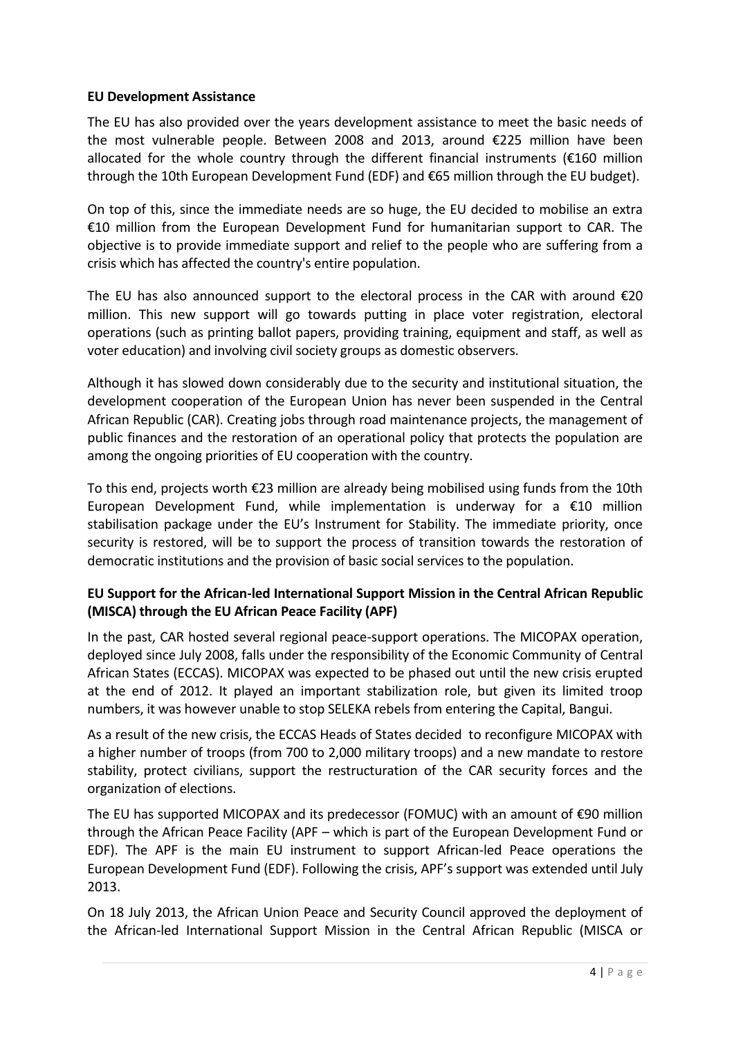#### **EU Development Assistance**

The EU has also provided over the years development assistance to meet the basic needs of the most vulnerable people. Between 2008 and 2013, around €225 million have been allocated for the whole country through the different financial instruments ( $\epsilon$ 160 million through the 10th European Development Fund (EDF) and €65 million through the EU budget).

On top of this, since the immediate needs are so huge, the EU decided to mobilise an extra €10 million from the European Development Fund for humanitarian support to CAR. The objective is to provide immediate support and relief to the people who are suffering from a crisis which has affected the country's entire population.

The EU has also announced support to the electoral process in the CAR with around  $\epsilon$ 20 million. This new support will go towards putting in place voter registration, electoral operations (such as printing ballot papers, providing training, equipment and staff, as well as voter education) and involving civil society groups as domestic observers.

Although it has slowed down considerably due to the security and institutional situation, the development cooperation of the European Union has never been suspended in the Central African Republic (CAR). Creating jobs through road maintenance projects, the management of public finances and the restoration of an operational policy that protects the population are among the ongoing priorities of EU cooperation with the country.

To this end, projects worth €23 million are already being mobilised using funds from the 10th European Development Fund, while implementation is underway for a  $£10$  million stabilisation package under the EU's Instrument for Stability. The immediate priority, once security is restored, will be to support the process of transition towards the restoration of democratic institutions and the provision of basic social services to the population.

## **EU Support for the African-led International Support Mission in the Central African Republic (MISCA) through the EU African Peace Facility (APF)**

In the past, CAR hosted several regional peace-support operations. The MICOPAX operation, deployed since July 2008, falls under the responsibility of the Economic Community of Central African States (ECCAS). MICOPAX was expected to be phased out until the new crisis erupted at the end of 2012. It played an important stabilization role, but given its limited troop numbers, it was however unable to stop SELEKA rebels from entering the Capital, Bangui.

As a result of the new crisis, the ECCAS Heads of States decided to reconfigure MICOPAX with a higher number of troops (from 700 to 2,000 military troops) and a new mandate to restore stability, protect civilians, support the restructuration of the CAR security forces and the organization of elections.

The EU has supported MICOPAX and its predecessor (FOMUC) with an amount of  $\epsilon$ 90 million through the African Peace Facility (APF – which is part of the European Development Fund or EDF). The APF is the main EU instrument to support African-led Peace operations the European Development Fund (EDF). Following the crisis, APF's support was extended until July 2013.

On 18 July 2013, the African Union Peace and Security Council approved the deployment of the African-led International Support Mission in the Central African Republic (MISCA or